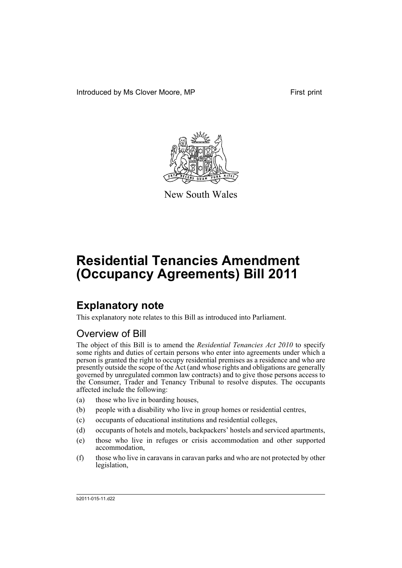Introduced by Ms Clover Moore, MP First print



New South Wales

# **Residential Tenancies Amendment (Occupancy Agreements) Bill 2011**

## **Explanatory note**

This explanatory note relates to this Bill as introduced into Parliament.

### Overview of Bill

The object of this Bill is to amend the *Residential Tenancies Act 2010* to specify some rights and duties of certain persons who enter into agreements under which a person is granted the right to occupy residential premises as a residence and who are presently outside the scope of the Act (and whose rights and obligations are generally governed by unregulated common law contracts) and to give those persons access to the Consumer, Trader and Tenancy Tribunal to resolve disputes. The occupants affected include the following:

- (a) those who live in boarding houses,
- (b) people with a disability who live in group homes or residential centres,
- (c) occupants of educational institutions and residential colleges,
- (d) occupants of hotels and motels, backpackers' hostels and serviced apartments,
- (e) those who live in refuges or crisis accommodation and other supported accommodation,
- (f) those who live in caravans in caravan parks and who are not protected by other legislation,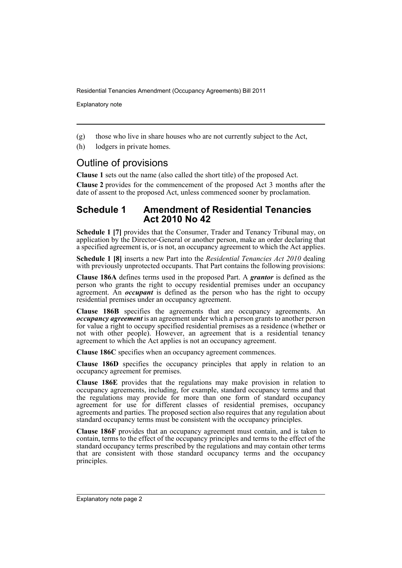Explanatory note

(g) those who live in share houses who are not currently subject to the Act,

(h) lodgers in private homes.

### Outline of provisions

**Clause 1** sets out the name (also called the short title) of the proposed Act.

**Clause 2** provides for the commencement of the proposed Act 3 months after the date of assent to the proposed Act, unless commenced sooner by proclamation.

#### **Schedule 1 Amendment of Residential Tenancies Act 2010 No 42**

**Schedule 1 [7]** provides that the Consumer, Trader and Tenancy Tribunal may, on application by the Director-General or another person, make an order declaring that a specified agreement is, or is not, an occupancy agreement to which the Act applies.

**Schedule 1 [8]** inserts a new Part into the *Residential Tenancies Act 2010* dealing with previously unprotected occupants. That Part contains the following provisions:

**Clause 186A** defines terms used in the proposed Part. A *grantor* is defined as the person who grants the right to occupy residential premises under an occupancy agreement. An *occupant* is defined as the person who has the right to occupy residential premises under an occupancy agreement.

**Clause 186B** specifies the agreements that are occupancy agreements. An *occupancy agreement* is an agreement under which a person grants to another person for value a right to occupy specified residential premises as a residence (whether or not with other people). However, an agreement that is a residential tenancy agreement to which the Act applies is not an occupancy agreement.

**Clause 186C** specifies when an occupancy agreement commences.

**Clause 186D** specifies the occupancy principles that apply in relation to an occupancy agreement for premises.

**Clause 186E** provides that the regulations may make provision in relation to occupancy agreements, including, for example, standard occupancy terms and that the regulations may provide for more than one form of standard occupancy agreement for use for different classes of residential premises, occupancy agreements and parties. The proposed section also requires that any regulation about standard occupancy terms must be consistent with the occupancy principles.

**Clause 186F** provides that an occupancy agreement must contain, and is taken to contain, terms to the effect of the occupancy principles and terms to the effect of the standard occupancy terms prescribed by the regulations and may contain other terms that are consistent with those standard occupancy terms and the occupancy principles.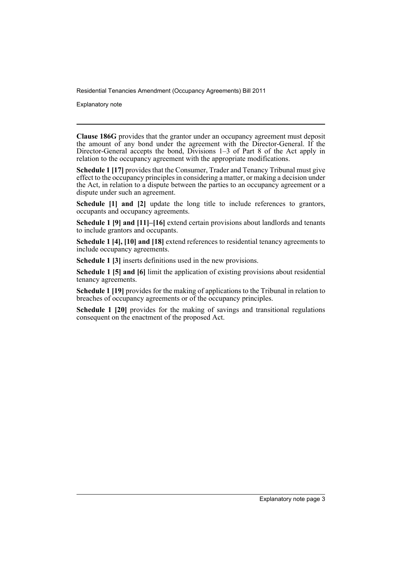Explanatory note

**Clause 186G** provides that the grantor under an occupancy agreement must deposit the amount of any bond under the agreement with the Director-General. If the Director-General accepts the bond, Divisions 1–3 of Part 8 of the Act apply in relation to the occupancy agreement with the appropriate modifications.

**Schedule 1 [17]** provides that the Consumer, Trader and Tenancy Tribunal must give effect to the occupancy principles in considering a matter, or making a decision under the Act, in relation to a dispute between the parties to an occupancy agreement or a dispute under such an agreement.

**Schedule [1] and [2]** update the long title to include references to grantors, occupants and occupancy agreements.

**Schedule 1 [9] and [11]–[16]** extend certain provisions about landlords and tenants to include grantors and occupants.

**Schedule 1 [4], [10] and [18]** extend references to residential tenancy agreements to include occupancy agreements.

**Schedule 1 [3]** inserts definitions used in the new provisions.

**Schedule 1 [5] and [6]** limit the application of existing provisions about residential tenancy agreements.

**Schedule 1 [19]** provides for the making of applications to the Tribunal in relation to breaches of occupancy agreements or of the occupancy principles.

**Schedule 1 [20]** provides for the making of savings and transitional regulations consequent on the enactment of the proposed Act.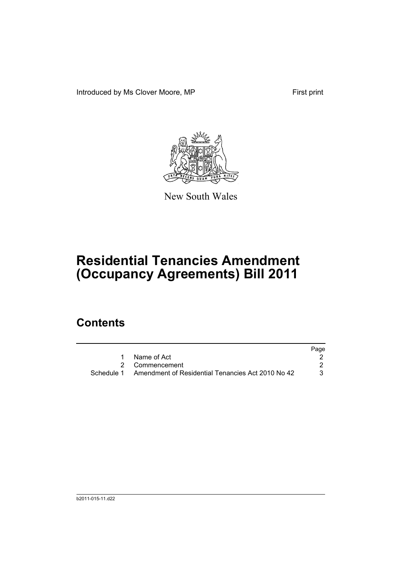Introduced by Ms Clover Moore, MP First print



New South Wales

## **Residential Tenancies Amendment (Occupancy Agreements) Bill 2011**

### **Contents**

|                                                              | Page |
|--------------------------------------------------------------|------|
| Name of Act                                                  |      |
| 2 Commencement                                               |      |
| Schedule 1 Amendment of Residential Tenancies Act 2010 No 42 |      |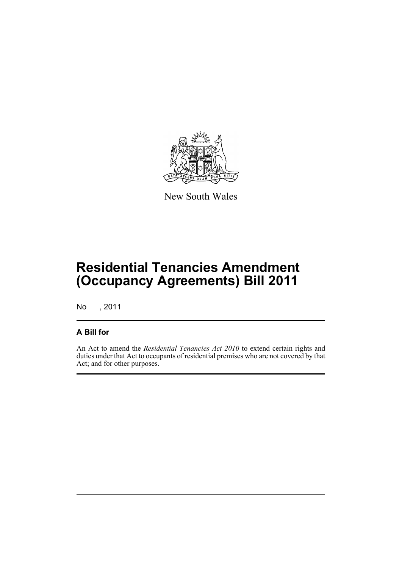

New South Wales

## **Residential Tenancies Amendment (Occupancy Agreements) Bill 2011**

No , 2011

#### **A Bill for**

An Act to amend the *Residential Tenancies Act 2010* to extend certain rights and duties under that Act to occupants of residential premises who are not covered by that Act; and for other purposes.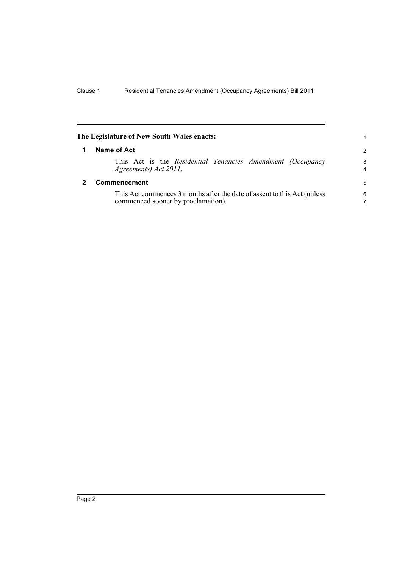<span id="page-7-1"></span><span id="page-7-0"></span>

| The Legislature of New South Wales enacts:                                                                     |                     |
|----------------------------------------------------------------------------------------------------------------|---------------------|
| Name of Act                                                                                                    | $\mathcal{P}$       |
| This Act is the Residential Tenancies Amendment (Occupancy<br>Agreements) Act 2011.                            | 3<br>$\overline{4}$ |
| <b>Commencement</b>                                                                                            | 5                   |
| This Act commences 3 months after the date of assent to this Act (unless<br>commenced sooner by proclamation). | 6<br>7              |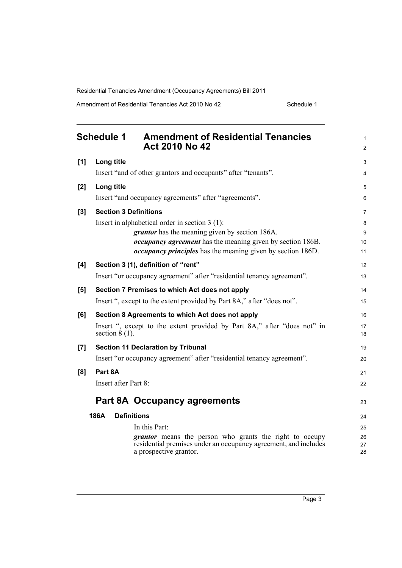<span id="page-8-0"></span>

|       | <b>Schedule 1</b><br><b>Amendment of Residential Tenancies</b><br><b>Act 2010 No 42</b>      | 1<br>$\overline{c}$ |
|-------|----------------------------------------------------------------------------------------------|---------------------|
| [1]   | Long title                                                                                   | 3                   |
|       | Insert "and of other grantors and occupants" after "tenants".                                | 4                   |
| [2]   | Long title                                                                                   | 5                   |
|       | Insert "and occupancy agreements" after "agreements".                                        | 6                   |
| $[3]$ | <b>Section 3 Definitions</b>                                                                 | 7                   |
|       | Insert in alphabetical order in section $3(1)$ :                                             | 8                   |
|       | <i>grantor</i> has the meaning given by section 186A.                                        | 9                   |
|       | <i>occupancy agreement</i> has the meaning given by section 186B.                            | 10                  |
|       | <i>occupancy principles</i> has the meaning given by section 186D.                           | 11                  |
| [4]   | Section 3 (1), definition of "rent"                                                          | 12                  |
|       | Insert "or occupancy agreement" after "residential tenancy agreement".                       | 13                  |
| [5]   | Section 7 Premises to which Act does not apply                                               | 14                  |
|       | Insert ", except to the extent provided by Part 8A," after "does not".                       | 15                  |
| [6]   | Section 8 Agreements to which Act does not apply                                             | 16                  |
|       | Insert ", except to the extent provided by Part 8A," after "does not" in<br>section $8(1)$ . | 17<br>18            |
| [7]   | <b>Section 11 Declaration by Tribunal</b>                                                    | 19                  |
|       | Insert "or occupancy agreement" after "residential tenancy agreement".                       | 20                  |
| [8]   | Part 8A                                                                                      | 21                  |
|       | Insert after Part 8:                                                                         | 22                  |
|       | Part 8A Occupancy agreements                                                                 | 23                  |
|       | 186A<br><b>Definitions</b>                                                                   | 24                  |
|       | In this Part:                                                                                | 25                  |
|       | <i>grantor</i> means the person who grants the right to occupy                               | 26                  |
|       | residential premises under an occupancy agreement, and includes<br>a prospective grantor.    | 27<br>28            |
|       |                                                                                              |                     |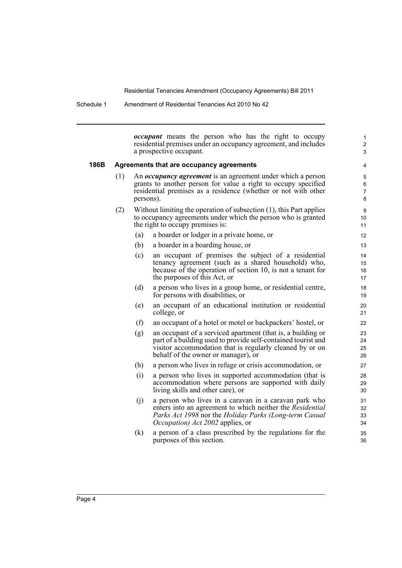Schedule 1 Amendment of Residential Tenancies Act 2010 No 42

*occupant* means the person who has the right to occupy residential premises under an occupancy agreement, and includes a prospective occupant.

1 2 3

#### **186B Agreements that are occupancy agreements**

- (1) An *occupancy agreement* is an agreement under which a person grants to another person for value a right to occupy specified residential premises as a residence (whether or not with other persons).
- (2) Without limiting the operation of subsection (1), this Part applies to occupancy agreements under which the person who is granted the right to occupy premises is:
	- (a) a boarder or lodger in a private home, or
	- (b) a boarder in a boarding house, or
	- (c) an occupant of premises the subject of a residential tenancy agreement (such as a shared household) who, because of the operation of section 10, is not a tenant for the purposes of this Act, or
	- (d) a person who lives in a group home, or residential centre, for persons with disabilities, or
	- (e) an occupant of an educational institution or residential college, or
	- (f) an occupant of a hotel or motel or backpackers' hostel, or
	- (g) an occupant of a serviced apartment (that is, a building or part of a building used to provide self-contained tourist and visitor accommodation that is regularly cleaned by or on behalf of the owner or manager), or
	- (h) a person who lives in refuge or crisis accommodation, or
	- (i) a person who lives in supported accommodation (that is accommodation where persons are supported with daily living skills and other care), or
	- (j) a person who lives in a caravan in a caravan park who enters into an agreement to which neither the *Residential Parks Act 1998* nor the *Holiday Parks (Long-term Casual Occupation) Act 2002* applies, or
	- (k) a person of a class prescribed by the regulations for the purposes of this section.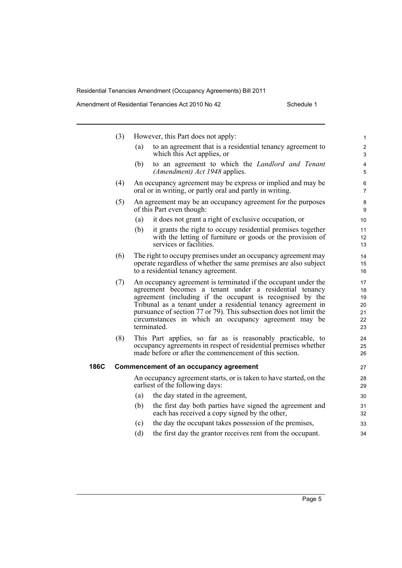|      | (3) | However, this Part does not apply:                                                                                                                                                                                                                                                                                                                                                                  | 1                                      |
|------|-----|-----------------------------------------------------------------------------------------------------------------------------------------------------------------------------------------------------------------------------------------------------------------------------------------------------------------------------------------------------------------------------------------------------|----------------------------------------|
|      |     | to an agreement that is a residential tenancy agreement to<br>(a)<br>which this Act applies, or                                                                                                                                                                                                                                                                                                     | $\overline{c}$<br>3                    |
|      |     | (b)<br>to an agreement to which the <i>Landlord and Tenant</i><br>(Amendment) Act 1948 applies.                                                                                                                                                                                                                                                                                                     | $\overline{\mathbf{4}}$<br>5           |
|      | (4) | An occupancy agreement may be express or implied and may be<br>oral or in writing, or partly oral and partly in writing.                                                                                                                                                                                                                                                                            | 6<br>$\overline{7}$                    |
|      | (5) | An agreement may be an occupancy agreement for the purposes<br>of this Part even though:                                                                                                                                                                                                                                                                                                            | 8<br>9                                 |
|      |     | it does not grant a right of exclusive occupation, or<br>(a)                                                                                                                                                                                                                                                                                                                                        | 10                                     |
|      |     | (b)<br>it grants the right to occupy residential premises together<br>with the letting of furniture or goods or the provision of<br>services or facilities.                                                                                                                                                                                                                                         | 11<br>12<br>13                         |
|      | (6) | The right to occupy premises under an occupancy agreement may<br>operate regardless of whether the same premises are also subject<br>to a residential tenancy agreement.                                                                                                                                                                                                                            | 14<br>15<br>16                         |
|      | (7) | An occupancy agreement is terminated if the occupant under the<br>agreement becomes a tenant under a residential tenancy<br>agreement (including if the occupant is recognised by the<br>Tribunal as a tenant under a residential tenancy agreement in<br>pursuance of section 77 or 79). This subsection does not limit the<br>circumstances in which an occupancy agreement may be<br>terminated. | 17<br>18<br>19<br>20<br>21<br>22<br>23 |
|      | (8) | This Part applies, so far as is reasonably practicable, to<br>occupancy agreements in respect of residential premises whether<br>made before or after the commencement of this section.                                                                                                                                                                                                             | 24<br>25<br>26                         |
| 186C |     | <b>Commencement of an occupancy agreement</b>                                                                                                                                                                                                                                                                                                                                                       | 27                                     |
|      |     | An occupancy agreement starts, or is taken to have started, on the<br>earliest of the following days:                                                                                                                                                                                                                                                                                               | 28<br>29                               |
|      |     | the day stated in the agreement,<br>(a)                                                                                                                                                                                                                                                                                                                                                             | 30                                     |
|      |     | (b)<br>the first day both parties have signed the agreement and<br>each has received a copy signed by the other,                                                                                                                                                                                                                                                                                    | 31<br>32                               |
|      |     | the day the occupant takes possession of the premises,<br>(c)                                                                                                                                                                                                                                                                                                                                       | 33                                     |
|      |     | (d)<br>the first day the grantor receives rent from the occupant.                                                                                                                                                                                                                                                                                                                                   | 34                                     |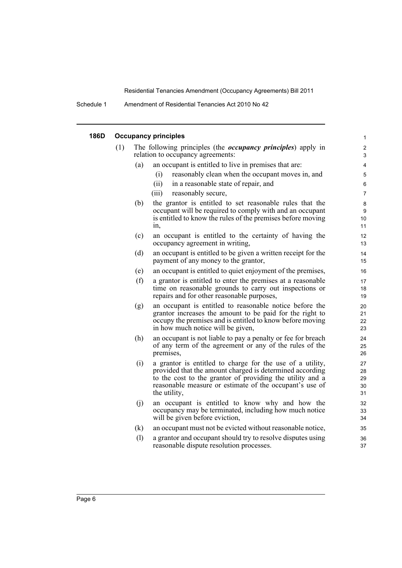Schedule 1 Amendment of Residential Tenancies Act 2010 No 42

| 186D | <b>Occupancy principles</b> |     |                                                                                                                                                                                                                                                               |                            |  |
|------|-----------------------------|-----|---------------------------------------------------------------------------------------------------------------------------------------------------------------------------------------------------------------------------------------------------------------|----------------------------|--|
|      | (1)                         |     | The following principles (the <i>occupancy principles</i> ) apply in<br>relation to occupancy agreements:                                                                                                                                                     | $\boldsymbol{2}$<br>3      |  |
|      |                             | (a) | an occupant is entitled to live in premises that are:                                                                                                                                                                                                         | 4                          |  |
|      |                             |     | (i)<br>reasonably clean when the occupant moves in, and                                                                                                                                                                                                       | 5                          |  |
|      |                             |     | (ii)<br>in a reasonable state of repair, and                                                                                                                                                                                                                  | $\,6\,$                    |  |
|      |                             |     | reasonably secure,<br>(iii)                                                                                                                                                                                                                                   | $\overline{7}$             |  |
|      |                             | (b) | the grantor is entitled to set reasonable rules that the<br>occupant will be required to comply with and an occupant<br>is entitled to know the rules of the premises before moving<br>in,                                                                    | $\bf 8$<br>9<br>10<br>11   |  |
|      |                             | (c) | an occupant is entitled to the certainty of having the<br>occupancy agreement in writing,                                                                                                                                                                     | 12<br>13                   |  |
|      |                             | (d) | an occupant is entitled to be given a written receipt for the<br>payment of any money to the grantor,                                                                                                                                                         | 14<br>15                   |  |
|      |                             | (e) | an occupant is entitled to quiet enjoyment of the premises,                                                                                                                                                                                                   | 16                         |  |
|      |                             | (f) | a grantor is entitled to enter the premises at a reasonable<br>time on reasonable grounds to carry out inspections or<br>repairs and for other reasonable purposes,                                                                                           | 17<br>18<br>19             |  |
|      |                             | (g) | an occupant is entitled to reasonable notice before the<br>grantor increases the amount to be paid for the right to<br>occupy the premises and is entitled to know before moving<br>in how much notice will be given,                                         | 20<br>21<br>22<br>23       |  |
|      |                             | (h) | an occupant is not liable to pay a penalty or fee for breach<br>of any term of the agreement or any of the rules of the<br>premises,                                                                                                                          | 24<br>25<br>26             |  |
|      |                             | (i) | a grantor is entitled to charge for the use of a utility,<br>provided that the amount charged is determined according<br>to the cost to the grantor of providing the utility and a<br>reasonable measure or estimate of the occupant's use of<br>the utility, | 27<br>28<br>29<br>30<br>31 |  |
|      |                             | (j) | an occupant is entitled to know why and how the<br>occupancy may be terminated, including how much notice<br>will be given before eviction,                                                                                                                   | 32<br>33<br>34             |  |
|      |                             | (k) | an occupant must not be evicted without reasonable notice,                                                                                                                                                                                                    | 35                         |  |
|      |                             | (1) | a grantor and occupant should try to resolve disputes using<br>reasonable dispute resolution processes.                                                                                                                                                       | 36<br>37                   |  |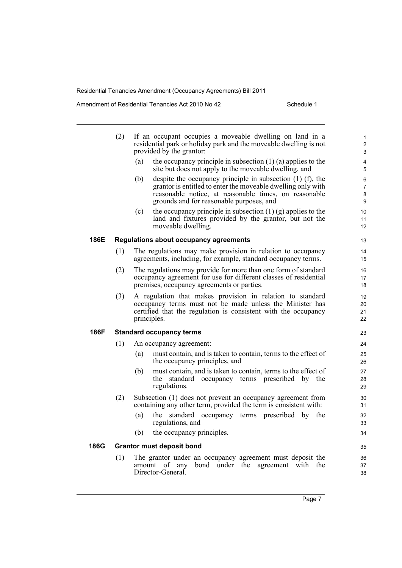Amendment of Residential Tenancies Act 2010 No 42 Schedule 1

|      | (2) | If an occupant occupies a moveable dwelling on land in a<br>residential park or holiday park and the moveable dwelling is not<br>provided by the grantor:<br>the occupancy principle in subsection $(1)$ (a) applies to the<br>(a)<br>site but does not apply to the moveable dwelling, and<br>despite the occupancy principle in subsection $(1)$ $(f)$ , the<br>(b)<br>grantor is entitled to enter the moveable dwelling only with<br>reasonable notice, at reasonable times, on reasonable<br>grounds and for reasonable purposes, and<br>the occupancy principle in subsection $(1)$ (g) applies to the<br>(c)<br>land and fixtures provided by the grantor, but not the |
|------|-----|-------------------------------------------------------------------------------------------------------------------------------------------------------------------------------------------------------------------------------------------------------------------------------------------------------------------------------------------------------------------------------------------------------------------------------------------------------------------------------------------------------------------------------------------------------------------------------------------------------------------------------------------------------------------------------|
|      |     | moveable dwelling.                                                                                                                                                                                                                                                                                                                                                                                                                                                                                                                                                                                                                                                            |
| 186E |     | <b>Regulations about occupancy agreements</b>                                                                                                                                                                                                                                                                                                                                                                                                                                                                                                                                                                                                                                 |
|      | (1) | The regulations may make provision in relation to occupancy<br>agreements, including, for example, standard occupancy terms.                                                                                                                                                                                                                                                                                                                                                                                                                                                                                                                                                  |
|      | (2) | The regulations may provide for more than one form of standard<br>occupancy agreement for use for different classes of residential<br>premises, occupancy agreements or parties.                                                                                                                                                                                                                                                                                                                                                                                                                                                                                              |
|      | (3) | A regulation that makes provision in relation to standard<br>occupancy terms must not be made unless the Minister has<br>certified that the regulation is consistent with the occupancy<br>principles.                                                                                                                                                                                                                                                                                                                                                                                                                                                                        |
| 186F |     | <b>Standard occupancy terms</b>                                                                                                                                                                                                                                                                                                                                                                                                                                                                                                                                                                                                                                               |
|      | (1) | An occupancy agreement:                                                                                                                                                                                                                                                                                                                                                                                                                                                                                                                                                                                                                                                       |
|      |     | must contain, and is taken to contain, terms to the effect of<br>(a)<br>the occupancy principles, and                                                                                                                                                                                                                                                                                                                                                                                                                                                                                                                                                                         |
|      |     | must contain, and is taken to contain, terms to the effect of<br>(b)<br>standard occupancy terms prescribed by the<br>the<br>regulations.                                                                                                                                                                                                                                                                                                                                                                                                                                                                                                                                     |
|      | (2) | Subsection (1) does not prevent an occupancy agreement from<br>containing any other term, provided the term is consistent with:                                                                                                                                                                                                                                                                                                                                                                                                                                                                                                                                               |
|      |     | (a)<br>the standard occupancy terms prescribed by the<br>regulations, and                                                                                                                                                                                                                                                                                                                                                                                                                                                                                                                                                                                                     |
|      |     | the occupancy principles.<br>(b)                                                                                                                                                                                                                                                                                                                                                                                                                                                                                                                                                                                                                                              |
| 186G |     | <b>Grantor must deposit bond</b>                                                                                                                                                                                                                                                                                                                                                                                                                                                                                                                                                                                                                                              |
|      | (1) | The grantor under an occupancy agreement must deposit the<br>of any<br>bond under the agreement with the<br>amount<br>Director-General.                                                                                                                                                                                                                                                                                                                                                                                                                                                                                                                                       |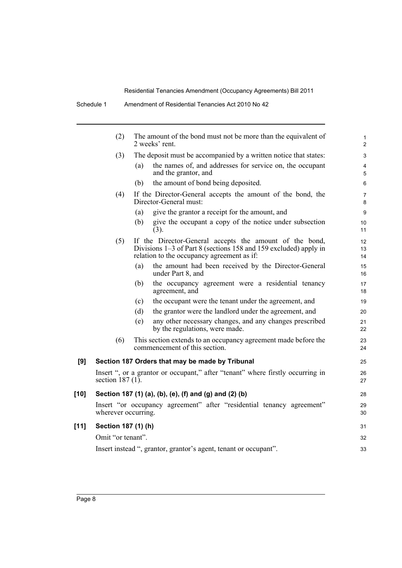|      | (2)                 |     | The amount of the bond must not be more than the equivalent of<br>2 weeks' rent.                                                                                          | $\mathbf 1$<br>$\overline{2}$ |
|------|---------------------|-----|---------------------------------------------------------------------------------------------------------------------------------------------------------------------------|-------------------------------|
|      | (3)                 |     | The deposit must be accompanied by a written notice that states:                                                                                                          | 3                             |
|      |                     | (a) | the names of, and addresses for service on, the occupant<br>and the grantor, and                                                                                          | $\overline{4}$<br>5           |
|      |                     | (b) | the amount of bond being deposited.                                                                                                                                       | 6                             |
|      | (4)                 |     | If the Director-General accepts the amount of the bond, the<br>Director-General must:                                                                                     | $\overline{7}$<br>8           |
|      |                     | (a) | give the grantor a receipt for the amount, and                                                                                                                            | 9                             |
|      |                     | (b) | give the occupant a copy of the notice under subsection<br>(3).                                                                                                           | 10<br>11                      |
|      | (5)                 |     | If the Director-General accepts the amount of the bond,<br>Divisions 1–3 of Part 8 (sections 158 and 159 excluded) apply in<br>relation to the occupancy agreement as if: | 12 <sup>2</sup><br>13<br>14   |
|      |                     | (a) | the amount had been received by the Director-General<br>under Part 8, and                                                                                                 | 15<br>16                      |
|      |                     | (b) | the occupancy agreement were a residential tenancy<br>agreement, and                                                                                                      | 17<br>18                      |
|      |                     | (c) | the occupant were the tenant under the agreement, and                                                                                                                     | 19                            |
|      |                     | (d) | the grantor were the landlord under the agreement, and                                                                                                                    | 20                            |
|      |                     | (e) | any other necessary changes, and any changes prescribed<br>by the regulations, were made.                                                                                 | 21<br>22                      |
|      | (6)                 |     | This section extends to an occupancy agreement made before the<br>commencement of this section.                                                                           | 23<br>24                      |
| [9]  |                     |     | Section 187 Orders that may be made by Tribunal                                                                                                                           | 25                            |
|      | section 187 $(1)$ . |     | Insert ", or a grantor or occupant," after "tenant" where firstly occurring in                                                                                            | 26<br>27                      |
| [10] |                     |     | Section 187 (1) (a), (b), (e), (f) and (g) and (2) (b)                                                                                                                    | 28                            |
|      | wherever occurring. |     | Insert "or occupancy agreement" after "residential tenancy agreement"                                                                                                     | 29<br>30                      |
| [11] | Section 187 (1) (h) |     |                                                                                                                                                                           | 31                            |
|      | Omit "or tenant".   |     |                                                                                                                                                                           | 32                            |
|      |                     |     | Insert instead ", grantor, grantor's agent, tenant or occupant".                                                                                                          | 33                            |
|      |                     |     |                                                                                                                                                                           |                               |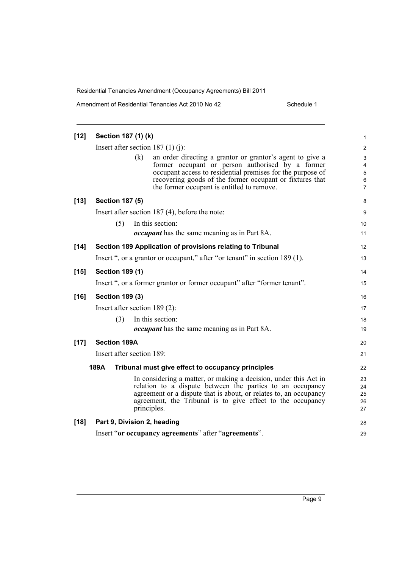| $[12]$ | Section 187 (1) (k)                 |                  |                                                                                                                                                                                                                                                                                       | 1                                                                                |
|--------|-------------------------------------|------------------|---------------------------------------------------------------------------------------------------------------------------------------------------------------------------------------------------------------------------------------------------------------------------------------|----------------------------------------------------------------------------------|
|        | Insert after section 187 $(1)(i)$ : |                  |                                                                                                                                                                                                                                                                                       | 2                                                                                |
|        |                                     | (k)              | an order directing a grantor or grantor's agent to give a<br>former occupant or person authorised by a former<br>occupant access to residential premises for the purpose of<br>recovering goods of the former occupant or fixtures that<br>the former occupant is entitled to remove. | $\mathsf 3$<br>$\overline{\mathbf{4}}$<br>$\mathbf 5$<br>$\,6$<br>$\overline{7}$ |
| $[13]$ | <b>Section 187 (5)</b>              |                  |                                                                                                                                                                                                                                                                                       | 8                                                                                |
|        |                                     |                  | Insert after section $187(4)$ , before the note:                                                                                                                                                                                                                                      | 9                                                                                |
|        | (5)                                 | In this section: |                                                                                                                                                                                                                                                                                       | 10                                                                               |
|        |                                     |                  | <i>occupant</i> has the same meaning as in Part 8A.                                                                                                                                                                                                                                   | 11                                                                               |
| $[14]$ |                                     |                  | Section 189 Application of provisions relating to Tribunal                                                                                                                                                                                                                            | 12                                                                               |
|        |                                     |                  | Insert ", or a grantor or occupant," after "or tenant" in section 189 (1).                                                                                                                                                                                                            | 13                                                                               |
| $[15]$ | <b>Section 189 (1)</b>              |                  |                                                                                                                                                                                                                                                                                       | 14                                                                               |
|        |                                     |                  | Insert ", or a former grantor or former occupant" after "former tenant".                                                                                                                                                                                                              | 15                                                                               |
| $[16]$ | <b>Section 189 (3)</b>              |                  |                                                                                                                                                                                                                                                                                       | 16                                                                               |
|        | Insert after section $189(2)$ :     |                  |                                                                                                                                                                                                                                                                                       | 17                                                                               |
|        | (3)                                 | In this section: |                                                                                                                                                                                                                                                                                       | 18                                                                               |
|        |                                     |                  | <i>occupant</i> has the same meaning as in Part 8A.                                                                                                                                                                                                                                   | 19                                                                               |
| $[17]$ | <b>Section 189A</b>                 |                  |                                                                                                                                                                                                                                                                                       | 20                                                                               |
|        | Insert after section 189:           |                  |                                                                                                                                                                                                                                                                                       | 21                                                                               |
|        | 189A                                |                  | Tribunal must give effect to occupancy principles                                                                                                                                                                                                                                     | 22                                                                               |
|        |                                     | principles.      | In considering a matter, or making a decision, under this Act in<br>relation to a dispute between the parties to an occupancy<br>agreement or a dispute that is about, or relates to, an occupancy<br>agreement, the Tribunal is to give effect to the occupancy                      | 23<br>24<br>25<br>26<br>27                                                       |
| $[18]$ | Part 9, Division 2, heading         |                  |                                                                                                                                                                                                                                                                                       | 28                                                                               |
|        |                                     |                  | Insert "or occupancy agreements" after "agreements".                                                                                                                                                                                                                                  | 29                                                                               |
|        |                                     |                  |                                                                                                                                                                                                                                                                                       |                                                                                  |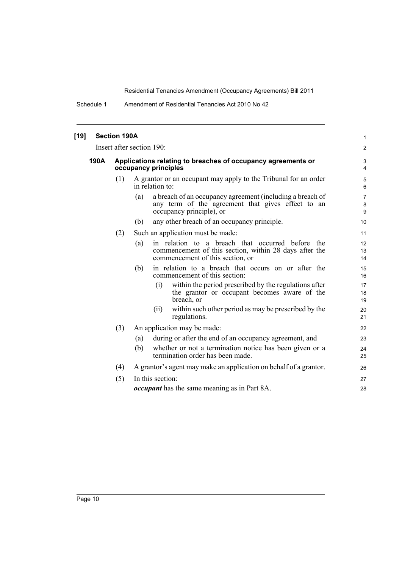Schedule 1 Amendment of Residential Tenancies Act 2010 No 42

| [19] |      | <b>Section 190A</b> |                                                                                                                                                          | $\mathbf{1}$                   |
|------|------|---------------------|----------------------------------------------------------------------------------------------------------------------------------------------------------|--------------------------------|
|      |      |                     | Insert after section 190:                                                                                                                                | $\overline{2}$                 |
|      | 190A |                     | Applications relating to breaches of occupancy agreements or<br>occupancy principles                                                                     | 3<br>4                         |
|      |      | (1)                 | A grantor or an occupant may apply to the Tribunal for an order<br>in relation to:                                                                       | $\mathbf 5$<br>6               |
|      |      |                     | a breach of an occupancy agreement (including a breach of<br>(a)<br>any term of the agreement that gives effect to an<br>occupancy principle), or        | $\overline{7}$<br>$\bf 8$<br>9 |
|      |      |                     | any other breach of an occupancy principle.<br>(b)                                                                                                       | 10                             |
|      |      | (2)                 | Such an application must be made:                                                                                                                        | 11                             |
|      |      |                     | in relation to a breach that occurred before<br>(a)<br>the<br>commencement of this section, within 28 days after the<br>commencement of this section, or | 12<br>13<br>14                 |
|      |      |                     | in relation to a breach that occurs on or after the<br>(b)<br>commencement of this section:                                                              | 15<br>16                       |
|      |      |                     | within the period prescribed by the regulations after<br>(i)<br>the grantor or occupant becomes aware of the<br>breach, or                               | 17<br>18<br>19                 |
|      |      |                     | within such other period as may be prescribed by the<br>(i)<br>regulations.                                                                              | 20<br>21                       |
|      |      | (3)                 | An application may be made:                                                                                                                              | 22                             |
|      |      |                     | during or after the end of an occupancy agreement, and<br>(a)                                                                                            | 23                             |
|      |      |                     | whether or not a termination notice has been given or a<br>(b)<br>termination order has been made.                                                       | 24<br>25                       |
|      |      | (4)                 | A grantor's agent may make an application on behalf of a grantor.                                                                                        | 26                             |
|      |      | (5)                 | In this section:                                                                                                                                         | 27                             |
|      |      |                     | <i>occupant</i> has the same meaning as in Part 8A.                                                                                                      | 28                             |